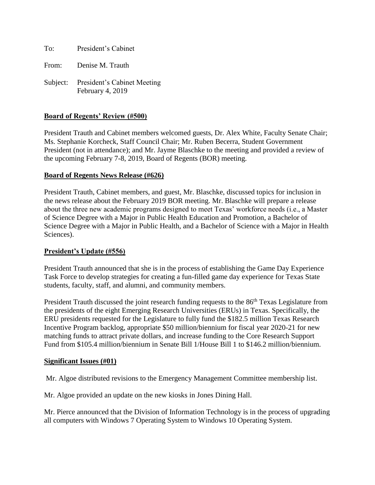To: President's Cabinet

From: Denise M. Trauth

Subject: President's Cabinet Meeting February 4, 2019

## **Board of Regents' Review (#500)**

President Trauth and Cabinet members welcomed guests, Dr. Alex White, Faculty Senate Chair; Ms. Stephanie Korcheck, Staff Council Chair; Mr. Ruben Becerra, Student Government President (not in attendance); and Mr. Jayme Blaschke to the meeting and provided a review of the upcoming February 7-8, 2019, Board of Regents (BOR) meeting.

## **Board of Regents News Release (#626)**

President Trauth, Cabinet members, and guest, Mr. Blaschke, discussed topics for inclusion in the news release about the February 2019 BOR meeting. Mr. Blaschke will prepare a release about the three new academic programs designed to meet Texas' workforce needs (i.e., a Master of Science Degree with a Major in Public Health Education and Promotion, a Bachelor of Science Degree with a Major in Public Health, and a Bachelor of Science with a Major in Health Sciences).

## **President's Update (#556)**

President Trauth announced that she is in the process of establishing the Game Day Experience Task Force to develop strategies for creating a fun-filled game day experience for Texas State students, faculty, staff, and alumni, and community members.

President Trauth discussed the joint research funding requests to the 86<sup>th</sup> Texas Legislature from the presidents of the eight Emerging Research Universities (ERUs) in Texas. Specifically, the ERU presidents requested for the Legislature to fully fund the \$182.5 million Texas Research Incentive Program backlog, appropriate \$50 million/biennium for fiscal year 2020-21 for new matching funds to attract private dollars, and increase funding to the Core Research Support Fund from \$105.4 million/biennium in Senate Bill 1/House Bill 1 to \$146.2 million/biennium.

#### **Significant Issues (#01)**

Mr. Algoe distributed revisions to the Emergency Management Committee membership list.

Mr. Algoe provided an update on the new kiosks in Jones Dining Hall.

Mr. Pierce announced that the Division of Information Technology is in the process of upgrading all computers with Windows 7 Operating System to Windows 10 Operating System.